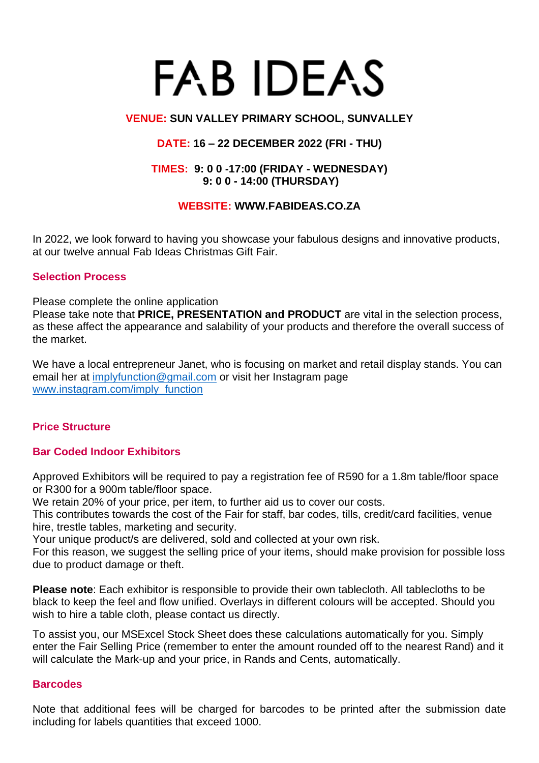# **FAB IDEAS**

#### **VENUE: SUN VALLEY PRIMARY SCHOOL, SUNVALLEY**

## **DATE: 16 – 22 DECEMBER 2022 (FRI - THU)**

#### **TIMES: 9: 0 0 -17:00 (FRIDAY - WEDNESDAY) 9: 0 0 - 14:00 (THURSDAY)**

## **WEBSITE: WWW.FABIDEAS.CO.ZA**

In 2022, we look forward to having you showcase your fabulous designs and innovative products, at our twelve annual Fab Ideas Christmas Gift Fair.

#### **Selection Process**

Please complete the online application

Please take note that **PRICE, PRESENTATION and PRODUCT** are vital in the selection process, as these affect the appearance and salability of your products and therefore the overall success of the market.

We have a local entrepreneur Janet, who is focusing on market and retail display stands. You can email her at [implyfunction@gmail.com](mailto:implyfunction@gmail.com) or visit her Instagram page [www.instagram.com/imply\\_function](http://www.instagram.com/imply_function)

## **Price Structure**

## **Bar Coded Indoor Exhibitors**

Approved Exhibitors will be required to pay a registration fee of R590 for a 1.8m table/floor space or R300 for a 900m table/floor space.

We retain 20% of your price, per item, to further aid us to cover our costs.

This contributes towards the cost of the Fair for staff, bar codes, tills, credit/card facilities, venue hire, trestle tables, marketing and security.

Your unique product/s are delivered, sold and collected at your own risk.

For this reason, we suggest the selling price of your items, should make provision for possible loss due to product damage or theft.

**Please note**: Each exhibitor is responsible to provide their own tablecloth. All tablecloths to be black to keep the feel and flow unified. Overlays in different colours will be accepted. Should you wish to hire a table cloth, please contact us directly.

To assist you, our MSExcel Stock Sheet does these calculations automatically for you. Simply enter the Fair Selling Price (remember to enter the amount rounded off to the nearest Rand) and it will calculate the Mark-up and your price, in Rands and Cents, automatically.

#### **Barcodes**

Note that additional fees will be charged for barcodes to be printed after the submission date including for labels quantities that exceed 1000.